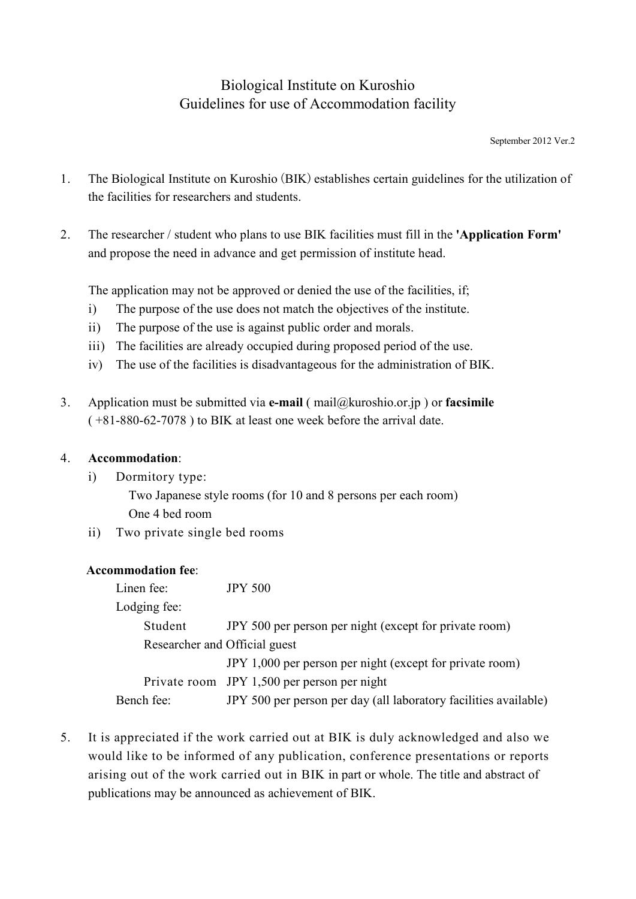# Biological Institute on Kuroshio Guidelines for use of Accommodation facility

September 2012 Ver.2

- 1. The Biological Institute on Kuroshio (BIK) establishes certain guidelines for the utilization of the facilities for researchers and students.
- 2. The researcher / student who plans to use BIK facilities must fill in the **'Application Form'** and propose the need in advance and get permission of institute head.

The application may not be approved or denied the use of the facilities, if;

- i) The purpose of the use does not match the objectives of the institute.
- ii) The purpose of the use is against public order and morals.
- iii) The facilities are already occupied during proposed period of the use.
- iv) The use of the facilities is disadvantageous for the administration of BIK.
- 3. Application must be submitted via **e-mail** ( mail@kuroshio.or.jp ) or **facsimile** ( +81-880-62-7078 ) to BIK at least one week before the arrival date.

### 4. **Accommodation**:

i) Dormitory type:

Two Japanese style rooms (for 10 and 8 persons per each room) One 4 bed room

ii) Two private single bed rooms

### **Accommodation fee**:

| Linen fee:                    | <b>JPY 500</b>                                                   |
|-------------------------------|------------------------------------------------------------------|
| Lodging fee:                  |                                                                  |
| Student                       | JPY 500 per person per night (except for private room)           |
| Researcher and Official guest |                                                                  |
|                               | JPY 1,000 per person per night (except for private room)         |
|                               | Private room JPY 1,500 per person per night                      |
| Bench fee:                    | JPY 500 per person per day (all laboratory facilities available) |

5. It is appreciated if the work carried out at BIK is duly acknowledged and also we would like to be informed of any publication, conference presentations or reports arising out of the work carried out in BIK in part or whole. The title and abstract of publications may be announced as achievement of BIK.